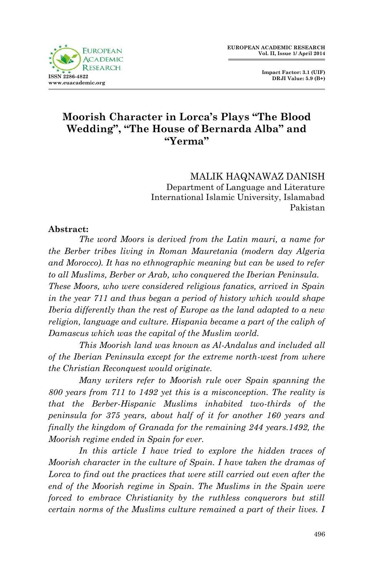

 **Impact Factor: 3.1 (UIF) DRJI Value: 5.9 (B+)**

### **Moorish Character in Lorca's Plays "The Blood Wedding", "The House of Bernarda Alba" and "Yerma"**

MALIK HAQNAWAZ DANISH Department of Language and Literature International Islamic University, Islamabad Pakistan

#### **Abstract:**

*The word Moors is derived from the Latin mauri, a name for the Berber tribes living in Roman Mauretania (modern day Algeria and Morocco). It has no ethnographic meaning but can be used to refer to all Muslims, Berber or Arab, who conquered the Iberian Peninsula. These Moors, who were considered religious fanatics, arrived in Spain in the year 711 and thus began a period of history which would shape Iberia differently than the rest of Europe as the land adapted to a new religion, language and culture. Hispania became a part of the caliph of Damascus which was the capital of the Muslim world.*

*This Moorish land was known as Al-Andalus and included all of the Iberian Peninsula except for the extreme north-west from where the Christian Reconquest would originate.*

*Many writers refer to Moorish rule over Spain spanning the 800 years from 711 to 1492 yet this is a misconception. The reality is that the Berber-Hispanic Muslims inhabited two-thirds of the peninsula for 375 years, about half of it for another 160 years and finally the kingdom of Granada for the remaining 244 years.1492, the Moorish regime ended in Spain for ever.*

*In this article I have tried to explore the hidden traces of Moorish character in the culture of Spain. I have taken the dramas of*  Lorca to find out the practices that were still carried out even after the *end of the Moorish regime in Spain. The Muslims in the Spain were forced to embrace Christianity by the ruthless conquerors but still certain norms of the Muslims culture remained a part of their lives. I*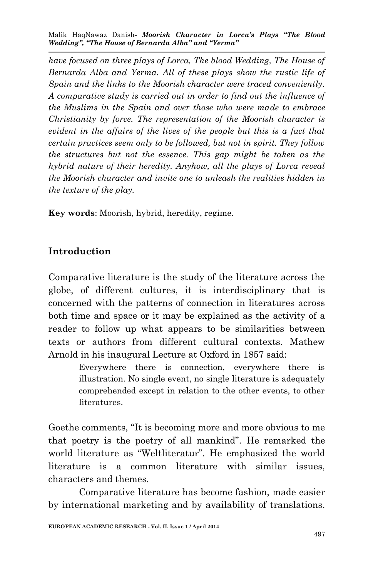Malik HaqNawaz Danish*- Moorish Character in Lorca's Plays "The Blood Wedding", "The House of Bernarda Alba" and "Yerma"*

*have focused on three plays of Lorca, The blood Wedding, The House of Bernarda Alba and Yerma. All of these plays show the rustic life of Spain and the links to the Moorish character were traced conveniently. A comparative study is carried out in order to find out the influence of the Muslims in the Spain and over those who were made to embrace Christianity by force. The representation of the Moorish character is evident in the affairs of the lives of the people but this is a fact that certain practices seem only to be followed, but not in spirit. They follow the structures but not the essence. This gap might be taken as the hybrid nature of their heredity. Anyhow, all the plays of Lorca reveal the Moorish character and invite one to unleash the realities hidden in the texture of the play.*

**Key words**: Moorish, hybrid, heredity, regime.

#### **Introduction**

Comparative literature is the study of the literature across the globe, of different cultures, it is interdisciplinary that is concerned with the patterns of connection in literatures across both time and space or it may be explained as the activity of a reader to follow up what appears to be similarities between texts or authors from different cultural contexts. Mathew Arnold in his inaugural Lecture at Oxford in 1857 said:

> Everywhere there is connection, everywhere there is illustration. No single event, no single literature is adequately comprehended except in relation to the other events, to other literatures.

Goethe comments, "It is becoming more and more obvious to me that poetry is the poetry of all mankind". He remarked the world literature as "Weltliteratur". He emphasized the world literature is a common literature with similar issues, characters and themes.

Comparative literature has become fashion, made easier by international marketing and by availability of translations.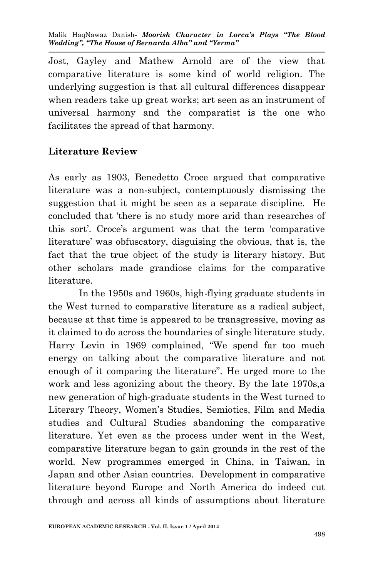Jost, Gayley and Mathew Arnold are of the view that comparative literature is some kind of world religion. The underlying suggestion is that all cultural differences disappear when readers take up great works; art seen as an instrument of universal harmony and the comparatist is the one who facilitates the spread of that harmony.

## **Literature Review**

As early as 1903, Benedetto Croce argued that comparative literature was a non-subject, contemptuously dismissing the suggestion that it might be seen as a separate discipline. He concluded that 'there is no study more arid than researches of this sort'. Croce's argument was that the term 'comparative literature' was obfuscatory, disguising the obvious, that is, the fact that the true object of the study is literary history. But other scholars made grandiose claims for the comparative literature.

In the 1950s and 1960s, high-flying graduate students in the West turned to comparative literature as a radical subject, because at that time is appeared to be transgressive, moving as it claimed to do across the boundaries of single literature study. Harry Levin in 1969 complained, "We spend far too much energy on talking about the comparative literature and not enough of it comparing the literature". He urged more to the work and less agonizing about the theory. By the late 1970s,a new generation of high-graduate students in the West turned to Literary Theory, Women's Studies, Semiotics, Film and Media studies and Cultural Studies abandoning the comparative literature. Yet even as the process under went in the West, comparative literature began to gain grounds in the rest of the world. New programmes emerged in China, in Taiwan, in Japan and other Asian countries. Development in comparative literature beyond Europe and North America do indeed cut through and across all kinds of assumptions about literature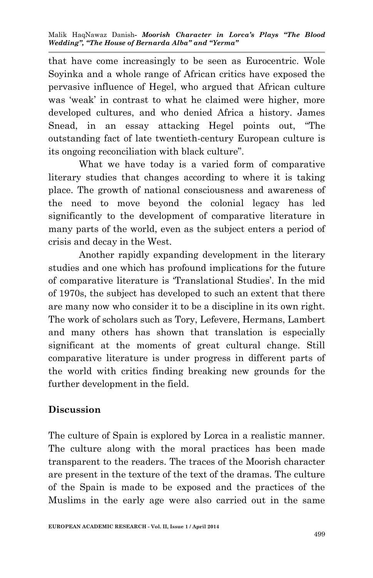that have come increasingly to be seen as Eurocentric. Wole Soyinka and a whole range of African critics have exposed the pervasive influence of Hegel, who argued that African culture was 'weak' in contrast to what he claimed were higher, more developed cultures, and who denied Africa a history. James Snead, in an essay attacking Hegel points out, "The outstanding fact of late twentieth-century European culture is its ongoing reconciliation with black culture".

What we have today is a varied form of comparative literary studies that changes according to where it is taking place. The growth of national consciousness and awareness of the need to move beyond the colonial legacy has led significantly to the development of comparative literature in many parts of the world, even as the subject enters a period of crisis and decay in the West.

Another rapidly expanding development in the literary studies and one which has profound implications for the future of comparative literature is 'Translational Studies'. In the mid of 1970s, the subject has developed to such an extent that there are many now who consider it to be a discipline in its own right. The work of scholars such as Tory, Lefevere, Hermans, Lambert and many others has shown that translation is especially significant at the moments of great cultural change. Still comparative literature is under progress in different parts of the world with critics finding breaking new grounds for the further development in the field.

# **Discussion**

The culture of Spain is explored by Lorca in a realistic manner. The culture along with the moral practices has been made transparent to the readers. The traces of the Moorish character are present in the texture of the text of the dramas. The culture of the Spain is made to be exposed and the practices of the Muslims in the early age were also carried out in the same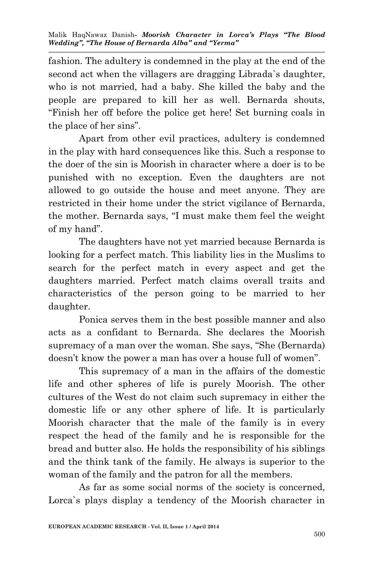fashion. The adultery is condemned in the play at the end of the second act when the villagers are dragging Librada`s daughter, who is not married, had a baby. She killed the baby and the people are prepared to kill her as well. Bernarda shouts, "Finish her off before the police get here! Set burning coals in the place of her sins".

Apart from other evil practices, adultery is condemned in the play with hard consequences like this. Such a response to the doer of the sin is Moorish in character where a doer is to be punished with no exception. Even the daughters are not allowed to go outside the house and meet anyone. They are restricted in their home under the strict vigilance of Bernarda, the mother. Bernarda says, "I must make them feel the weight of my hand".

The daughters have not yet married because Bernarda is looking for a perfect match. This liability lies in the Muslims to search for the perfect match in every aspect and get the daughters married. Perfect match claims overall traits and characteristics of the person going to be married to her daughter.

Ponica serves them in the best possible manner and also acts as a confidant to Bernarda. She declares the Moorish supremacy of a man over the woman. She says, "She (Bernarda) doesn't know the power a man has over a house full of women".

This supremacy of a man in the affairs of the domestic life and other spheres of life is purely Moorish. The other cultures of the West do not claim such supremacy in either the domestic life or any other sphere of life. It is particularly Moorish character that the male of the family is in every respect the head of the family and he is responsible for the bread and butter also. He holds the responsibility of his siblings and the think tank of the family. He always is superior to the woman of the family and the patron for all the members.

As far as some social norms of the society is concerned, Lorca`s plays display a tendency of the Moorish character in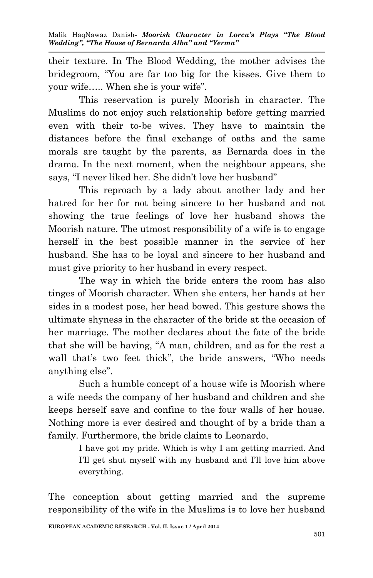their texture. In The Blood Wedding, the mother advises the bridegroom, "You are far too big for the kisses. Give them to your wife….. When she is your wife".

This reservation is purely Moorish in character. The Muslims do not enjoy such relationship before getting married even with their to-be wives. They have to maintain the distances before the final exchange of oaths and the same morals are taught by the parents, as Bernarda does in the drama. In the next moment, when the neighbour appears, she says, "I never liked her. She didn't love her husband"

This reproach by a lady about another lady and her hatred for her for not being sincere to her husband and not showing the true feelings of love her husband shows the Moorish nature. The utmost responsibility of a wife is to engage herself in the best possible manner in the service of her husband. She has to be loyal and sincere to her husband and must give priority to her husband in every respect.

The way in which the bride enters the room has also tinges of Moorish character. When she enters, her hands at her sides in a modest pose, her head bowed. This gesture shows the ultimate shyness in the character of the bride at the occasion of her marriage. The mother declares about the fate of the bride that she will be having, "A man, children, and as for the rest a wall that's two feet thick", the bride answers, "Who needs anything else".

Such a humble concept of a house wife is Moorish where a wife needs the company of her husband and children and she keeps herself save and confine to the four walls of her house. Nothing more is ever desired and thought of by a bride than a family. Furthermore, the bride claims to Leonardo,

> I have got my pride. Which is why I am getting married. And I'll get shut myself with my husband and I'll love him above everything.

The conception about getting married and the supreme responsibility of the wife in the Muslims is to love her husband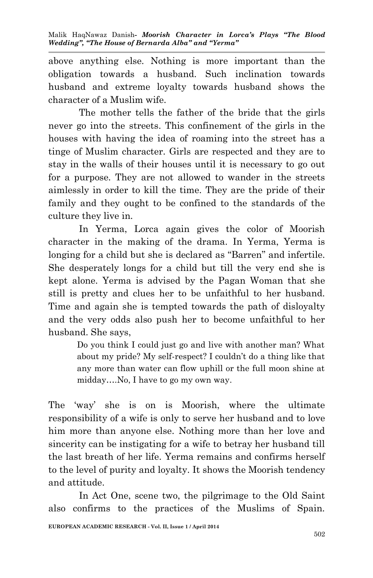above anything else. Nothing is more important than the obligation towards a husband. Such inclination towards husband and extreme loyalty towards husband shows the character of a Muslim wife.

The mother tells the father of the bride that the girls never go into the streets. This confinement of the girls in the houses with having the idea of roaming into the street has a tinge of Muslim character. Girls are respected and they are to stay in the walls of their houses until it is necessary to go out for a purpose. They are not allowed to wander in the streets aimlessly in order to kill the time. They are the pride of their family and they ought to be confined to the standards of the culture they live in.

In Yerma, Lorca again gives the color of Moorish character in the making of the drama. In Yerma, Yerma is longing for a child but she is declared as "Barren" and infertile. She desperately longs for a child but till the very end she is kept alone. Yerma is advised by the Pagan Woman that she still is pretty and clues her to be unfaithful to her husband. Time and again she is tempted towards the path of disloyalty and the very odds also push her to become unfaithful to her husband. She says,

> Do you think I could just go and live with another man? What about my pride? My self-respect? I couldn't do a thing like that any more than water can flow uphill or the full moon shine at midday….No, I have to go my own way.

The 'way' she is on is Moorish, where the ultimate responsibility of a wife is only to serve her husband and to love him more than anyone else. Nothing more than her love and sincerity can be instigating for a wife to betray her husband till the last breath of her life. Yerma remains and confirms herself to the level of purity and loyalty. It shows the Moorish tendency and attitude.

In Act One, scene two, the pilgrimage to the Old Saint also confirms to the practices of the Muslims of Spain.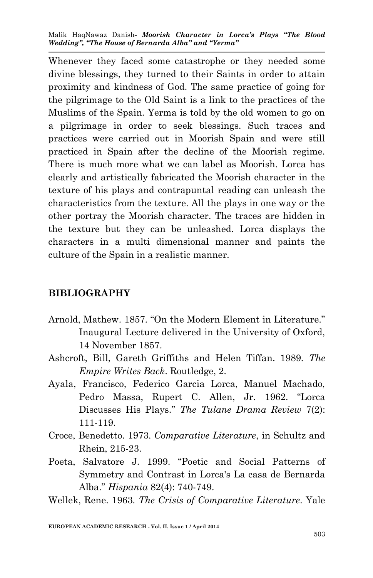Malik HaqNawaz Danish*- Moorish Character in Lorca's Plays "The Blood Wedding", "The House of Bernarda Alba" and "Yerma"*

Whenever they faced some catastrophe or they needed some divine blessings, they turned to their Saints in order to attain proximity and kindness of God. The same practice of going for the pilgrimage to the Old Saint is a link to the practices of the Muslims of the Spain. Yerma is told by the old women to go on a pilgrimage in order to seek blessings. Such traces and practices were carried out in Moorish Spain and were still practiced in Spain after the decline of the Moorish regime. There is much more what we can label as Moorish. Lorca has clearly and artistically fabricated the Moorish character in the texture of his plays and contrapuntal reading can unleash the characteristics from the texture. All the plays in one way or the other portray the Moorish character. The traces are hidden in the texture but they can be unleashed. Lorca displays the characters in a multi dimensional manner and paints the culture of the Spain in a realistic manner.

#### **BIBLIOGRAPHY**

- Arnold, Mathew. 1857. "On the Modern Element in Literature." Inaugural Lecture delivered in the University of Oxford, 14 November 1857.
- Ashcroft, Bill, Gareth Griffiths and Helen Tiffan. 1989. *The Empire Writes Back*. Routledge, 2.
- Ayala, Francisco, Federico Garcia Lorca, Manuel Machado, Pedro Massa, Rupert C. Allen, Jr. 1962. "Lorca Discusses His Plays." *The Tulane Drama Review* 7(2): 111-119.
- Croce, Benedetto. 1973. *Comparative Literature*, in Schultz and Rhein, 215-23.
- Poeta, Salvatore J. 1999. "Poetic and Social Patterns of Symmetry and Contrast in Lorca's La casa de Bernarda Alba." *Hispania* 82(4): 740-749.

Wellek, Rene. 1963. *The Crisis of Comparative Literature*. Yale